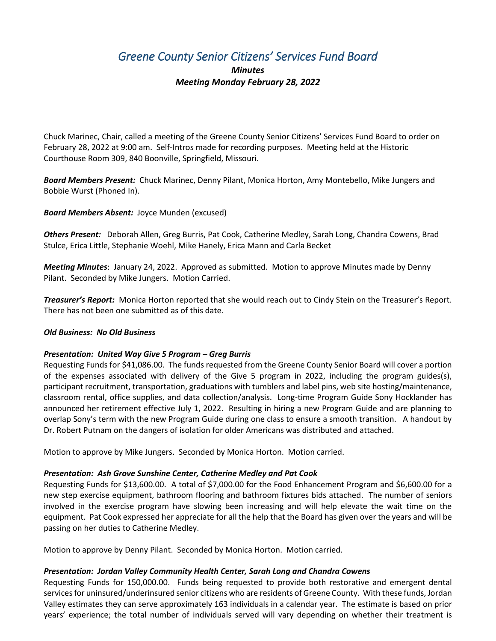# *Greene County Senior Citizens' Services Fund Board*

## *Minutes Meeting Monday February 28, 2022*

Chuck Marinec, Chair, called a meeting of the Greene County Senior Citizens' Services Fund Board to order on February 28, 2022 at 9:00 am. Self-Intros made for recording purposes. Meeting held at the Historic Courthouse Room 309, 840 Boonville, Springfield, Missouri.

*Board Members Present:* Chuck Marinec, Denny Pilant, Monica Horton, Amy Montebello, Mike Jungers and Bobbie Wurst (Phoned In).

*Board Members Absent:* Joyce Munden (excused)

*Others Present:* Deborah Allen, Greg Burris, Pat Cook, Catherine Medley, Sarah Long, Chandra Cowens, Brad Stulce, Erica Little, Stephanie Woehl, Mike Hanely, Erica Mann and Carla Becket

*Meeting Minutes*: January 24, 2022. Approved as submitted. Motion to approve Minutes made by Denny Pilant. Seconded by Mike Jungers. Motion Carried.

*Treasurer's Report:* Monica Horton reported that she would reach out to Cindy Stein on the Treasurer's Report. There has not been one submitted as of this date.

#### *Old Business: No Old Business*

#### *Presentation: United Way Give 5 Program – Greg Burris*

Requesting Funds for \$41,086.00. The funds requested from the Greene County Senior Board will cover a portion of the expenses associated with delivery of the Give 5 program in 2022, including the program guides(s), participant recruitment, transportation, graduations with tumblers and label pins, web site hosting/maintenance, classroom rental, office supplies, and data collection/analysis. Long-time Program Guide Sony Hocklander has announced her retirement effective July 1, 2022. Resulting in hiring a new Program Guide and are planning to overlap Sony's term with the new Program Guide during one class to ensure a smooth transition. A handout by Dr. Robert Putnam on the dangers of isolation for older Americans was distributed and attached.

Motion to approve by Mike Jungers. Seconded by Monica Horton. Motion carried.

#### *Presentation: Ash Grove Sunshine Center, Catherine Medley and Pat Cook*

Requesting Funds for \$13,600.00. A total of \$7,000.00 for the Food Enhancement Program and \$6,600.00 for a new step exercise equipment, bathroom flooring and bathroom fixtures bids attached. The number of seniors involved in the exercise program have slowing been increasing and will help elevate the wait time on the equipment. Pat Cook expressed her appreciate for all the help that the Board has given over the years and will be passing on her duties to Catherine Medley.

Motion to approve by Denny Pilant. Seconded by Monica Horton. Motion carried.

#### *Presentation: Jordan Valley Community Health Center, Sarah Long and Chandra Cowens*

Requesting Funds for 150,000.00. Funds being requested to provide both restorative and emergent dental services for uninsured/underinsured senior citizens who are residents of Greene County. With these funds, Jordan Valley estimates they can serve approximately 163 individuals in a calendar year. The estimate is based on prior years' experience; the total number of individuals served will vary depending on whether their treatment is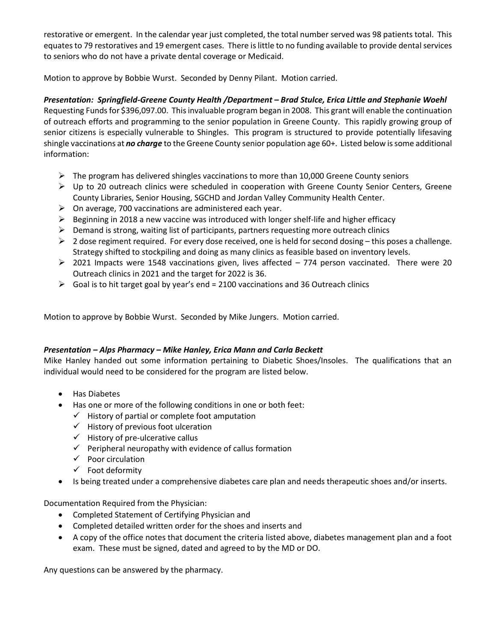restorative or emergent. In the calendar year just completed, the total number served was 98 patients total. This equates to 79 restoratives and 19 emergent cases. There is little to no funding available to provide dental services to seniors who do not have a private dental coverage or Medicaid.

Motion to approve by Bobbie Wurst. Seconded by Denny Pilant. Motion carried.

### *Presentation: Springfield-Greene County Health /Department – Brad Stulce, Erica Little and Stephanie Woehl*

Requesting Funds for \$396,097.00. This invaluable program began in 2008. This grant will enable the continuation of outreach efforts and programming to the senior population in Greene County. This rapidly growing group of senior citizens is especially vulnerable to Shingles. This program is structured to provide potentially lifesaving shingle vaccinations at *no charge* to the Greene County senior population age 60+. Listed below is some additional information:

- $\triangleright$  The program has delivered shingles vaccinations to more than 10,000 Greene County seniors
- Up to 20 outreach clinics were scheduled in cooperation with Greene County Senior Centers, Greene County Libraries, Senior Housing, SGCHD and Jordan Valley Community Health Center.
- $\triangleright$  On average, 700 vaccinations are administered each year.
- $\triangleright$  Beginning in 2018 a new vaccine was introduced with longer shelf-life and higher efficacy
- $\triangleright$  Demand is strong, waiting list of participants, partners requesting more outreach clinics
- $\triangleright$  2 dose regiment required. For every dose received, one is held for second dosing this poses a challenge. Strategy shifted to stockpiling and doing as many clinics as feasible based on inventory levels.
- $\geq$  2021 Impacts were 1548 vaccinations given, lives affected 774 person vaccinated. There were 20 Outreach clinics in 2021 and the target for 2022 is 36.
- $\triangleright$  Goal is to hit target goal by year's end = 2100 vaccinations and 36 Outreach clinics

Motion to approve by Bobbie Wurst. Seconded by Mike Jungers. Motion carried.

#### *Presentation – Alps Pharmacy – Mike Hanley, Erica Mann and Carla Beckett*

Mike Hanley handed out some information pertaining to Diabetic Shoes/Insoles. The qualifications that an individual would need to be considered for the program are listed below.

- Has Diabetes
- Has one or more of the following conditions in one or both feet:
	- $\checkmark$  History of partial or complete foot amputation
	- $\checkmark$  History of previous foot ulceration
	- $\checkmark$  History of pre-ulcerative callus
	- $\checkmark$  Peripheral neuropathy with evidence of callus formation
	- $\checkmark$  Poor circulation
	- $\checkmark$  Foot deformity
- Is being treated under a comprehensive diabetes care plan and needs therapeutic shoes and/or inserts.

Documentation Required from the Physician:

- Completed Statement of Certifying Physician and
- Completed detailed written order for the shoes and inserts and
- A copy of the office notes that document the criteria listed above, diabetes management plan and a foot exam. These must be signed, dated and agreed to by the MD or DO.

Any questions can be answered by the pharmacy.